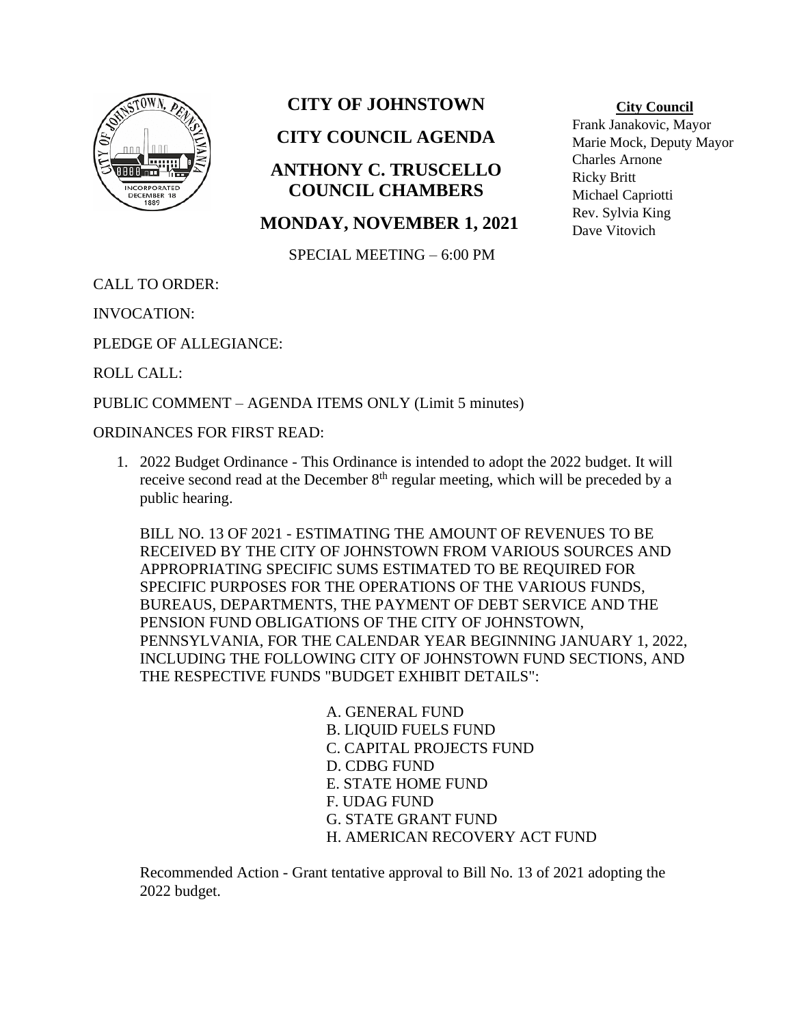

## **CITY OF JOHNSTOWN**

# **CITY COUNCIL AGENDA**

## **ANTHONY C. TRUSCELLO COUNCIL CHAMBERS**

### **MONDAY, NOVEMBER 1, 2021**

### SPECIAL MEETING – 6:00 PM

CALL TO ORDER:

INVOCATION:

PLEDGE OF ALLEGIANCE:

ROLL CALL:

PUBLIC COMMENT – AGENDA ITEMS ONLY (Limit 5 minutes)

### ORDINANCES FOR FIRST READ:

1. 2022 Budget Ordinance - This Ordinance is intended to adopt the 2022 budget. It will receive second read at the December 8<sup>th</sup> regular meeting, which will be preceded by a public hearing.

BILL NO. 13 OF 2021 - ESTIMATING THE AMOUNT OF REVENUES TO BE RECEIVED BY THE CITY OF JOHNSTOWN FROM VARIOUS SOURCES AND APPROPRIATING SPECIFIC SUMS ESTIMATED TO BE REQUIRED FOR SPECIFIC PURPOSES FOR THE OPERATIONS OF THE VARIOUS FUNDS, BUREAUS, DEPARTMENTS, THE PAYMENT OF DEBT SERVICE AND THE PENSION FUND OBLIGATIONS OF THE CITY OF JOHNSTOWN, PENNSYLVANIA, FOR THE CALENDAR YEAR BEGINNING JANUARY 1, 2022, INCLUDING THE FOLLOWING CITY OF JOHNSTOWN FUND SECTIONS, AND THE RESPECTIVE FUNDS "BUDGET EXHIBIT DETAILS":

> A. GENERAL FUND B. LIQUID FUELS FUND C. CAPITAL PROJECTS FUND D. CDBG FUND E. STATE HOME FUND F. UDAG FUND G. STATE GRANT FUND H. AMERICAN RECOVERY ACT FUND

Recommended Action - Grant tentative approval to Bill No. 13 of 2021 adopting the 2022 budget.

#### **City Council**

Frank Janakovic, Mayor Marie Mock, Deputy Mayor Charles Arnone Ricky Britt Michael Capriotti Rev. Sylvia King Dave Vitovich